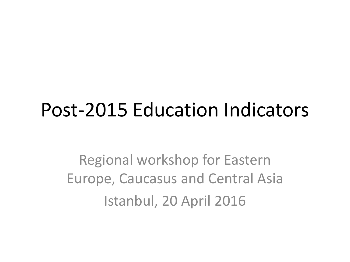# Post-2015 Education Indicators

Regional workshop for Eastern Europe, Caucasus and Central Asia Istanbul, 20 April 2016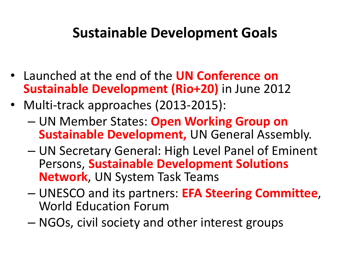## **Sustainable Development Goals**

- Launched at the end of the **UN Conference on Sustainable Development (Rio+20)** in June 2012
- Multi-track approaches (2013-2015):
	- UN Member States: **Open Working Group on Sustainable Development,** UN General Assembly.
	- UN Secretary General: High Level Panel of Eminent Persons, **Sustainable Development Solutions Network**, UN System Task Teams
	- UNESCO and its partners: **EFA Steering Committee**, World Education Forum
	- NGOs, civil society and other interest groups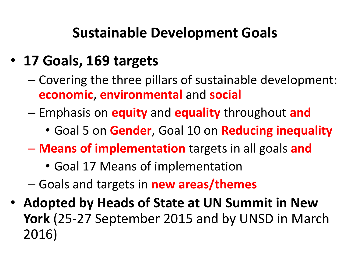## **Sustainable Development Goals**

## • **17 Goals, 169 targets**

- Covering the three pillars of sustainable development: **economic**, **environmental** and **social**
- Emphasis on **equity** and **equality** throughout **and**
	- Goal 5 on **Gender**, Goal 10 on **Reducing inequality**
- **Means of implementation** targets in all goals **and**
	- Goal 17 Means of implementation
- Goals and targets in **new areas/themes**
- **Adopted by Heads of State at UN Summit in New York** (25-27 September 2015 and by UNSD in March 2016)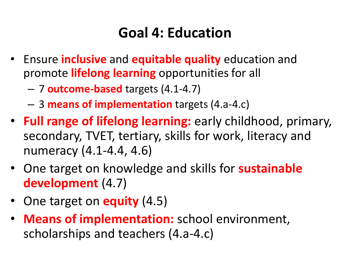## **Goal 4: Education**

- Ensure **inclusive** and **equitable quality** education and promote **lifelong learning** opportunities for all
	- 7 **outcome-based** targets (4.1-4.7)
	- 3 **means of implementation** targets (4.a-4.c)
- **Full range of lifelong learning:** early childhood, primary, secondary, TVET, tertiary, skills for work, literacy and numeracy (4.1-4.4, 4.6)
- One target on knowledge and skills for **sustainable development** (4.7)
- One target on **equity** (4.5)
- **Means of implementation:** school environment, scholarships and teachers (4.a-4.c)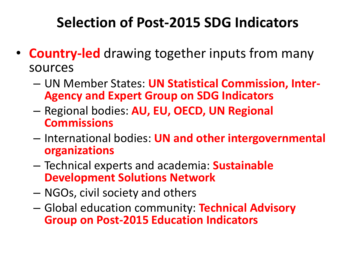## **Selection of Post-2015 SDG Indicators**

- **Country-led** drawing together inputs from many sources
	- UN Member States: **UN Statistical Commission, Inter-Agency and Expert Group on SDG Indicators**
	- Regional bodies: **AU, EU, OECD, UN Regional Commissions**
	- International bodies: **UN and other intergovernmental organizations**
	- Technical experts and academia: **Sustainable Development Solutions Network**
	- NGOs, civil society and others
	- Global education community: **Technical Advisory Group on Post-2015 Education Indicators**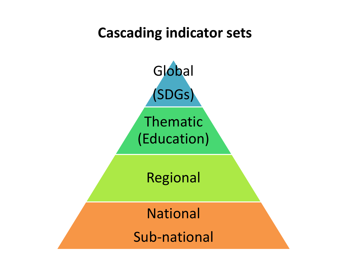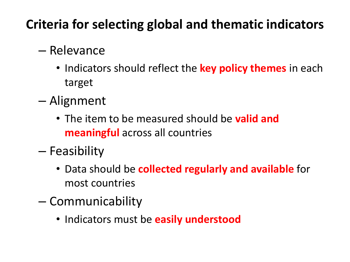## **Criteria for selecting global and thematic indicators**

### – Relevance

- Indicators should reflect the **key policy themes** in each target
- Alignment
	- The item to be measured should be **valid and meaningful** across all countries
- Feasibility
	- Data should be **collected regularly and available** for most countries
- Communicability
	- Indicators must be **easily understood**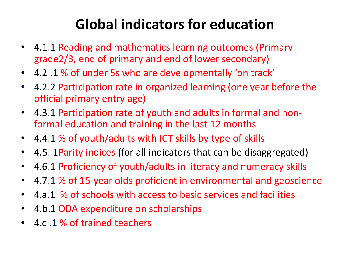## **Global indicators for education**

- 4.1.1 Reading and mathematics learning outcomes (Primary grade2/3, end of primary and end of lower secondary)
- 4.2 .1 % of under 5s who are developmentally 'on track'
- 4.2.2 Participation rate in organized learning (one year before the official primary entry age)
- 4.3.1 Participation rate of youth and adults in formal and nonformal education and training in the last 12 months
- 4.4.1 % of youth/adults with ICT skills by type of skills
- 4.5. 1Parity indices (for all indicators that can be disaggregated)
- 4.6.1 Proficiency of youth/adults in literacy and numeracy skills
- 4.7.1 % of 15-year olds proficient in environmental and geoscience
- 4.a.1 % of schools with access to basic services and facilities
- 4.b.1 ODA expenditure on scholarships
- 4.c .1 % of trained teachers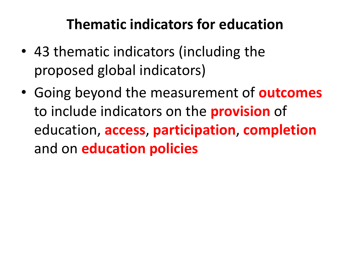## **Thematic indicators for education**

- 43 thematic indicators (including the proposed global indicators)
- Going beyond the measurement of **outcomes** to include indicators on the **provision** of education, **access**, **participation**, **completion** and on **education policies**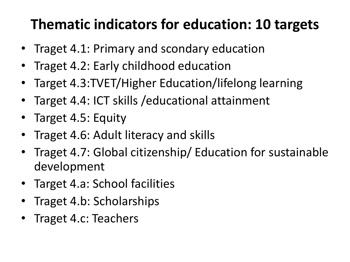## **Thematic indicators for education: 10 targets**

- Traget 4.1: Primary and scondary education
- Traget 4.2: Early childhood education
- Target 4.3:TVET/Higher Education/lifelong learning
- Target 4.4: ICT skills /educational attainment
- Target 4.5: Equity
- Traget 4.6: Adult literacy and skills
- Traget 4.7: Global citizenship/ Education for sustainable development
- Target 4.a: School facilities
- Traget 4.b: Scholarships
- Traget 4.c: Teachers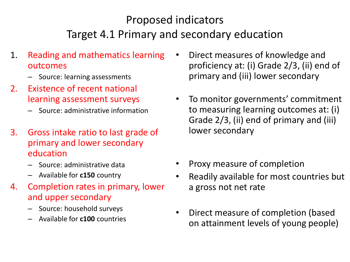### Proposed indicators Target 4.1 Primary and secondary education

- 1. Reading and mathematics learning outcomes
	- Source: learning assessments
- 2. Existence of recent national learning assessment surveys
	- Source: administrative information
- 3. Gross intake ratio to last grade of primary and lower secondary education
	- Source: administrative data
	- Available for **c150** country
- 4. Completion rates in primary, lower and upper secondary
	- Source: household surveys
	- Available for **c100** countries
- Direct measures of knowledge and proficiency at: (i) Grade 2/3, (ii) end of primary and (iii) lower secondary
- To monitor governments' commitment to measuring learning outcomes at: (i) Grade 2/3, (ii) end of primary and (iii) lower secondary
- Proxy measure of completion
- Readily available for most countries but a gross not net rate
- Direct measure of completion (based on attainment levels of young people)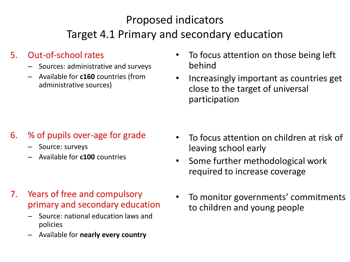### Proposed indicators Target 4.1 Primary and secondary education

#### 5. Out-of-school rates

- Sources: administrative and surveys
- Available for **c160** countries (from administrative sources)
- To focus attention on those being left behind
- Increasingly important as countries get close to the target of universal participation

#### 6. % of pupils over-age for grade

- Source: surveys
- Available for **c100** countries

- 7. Years of free and compulsory primary and secondary education
	- Source: national education laws and policies
	- Available for **nearly every country**
- To focus attention on children at risk of leaving school early
- Some further methodological work required to increase coverage
- To monitor governments' commitments to children and young people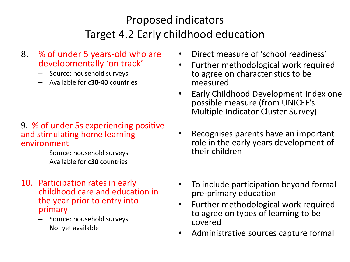### Proposed indicators Target 4.2 Early childhood education

- 8. % of under 5 years-old who are developmentally 'on track'
	- Source: household surveys
	- Available for **c30-40** countries

#### 9. % of under 5s experiencing positive and stimulating home learning environment

- Source: household surveys
- Available for **c30** countries
- 10. Participation rates in early childhood care and education in the year prior to entry into primary
	- Source: household surveys
	- Not yet available
- Direct measure of 'school readiness'
- Further methodological work required to agree on characteristics to be measured
- Early Childhood Development Index one possible measure (from UNICEF's Multiple Indicator Cluster Survey)
- Recognises parents have an important role in the early years development of their children
- To include participation beyond formal pre-primary education
- Further methodological work required to agree on types of learning to be covered
- Administrative sources capture formal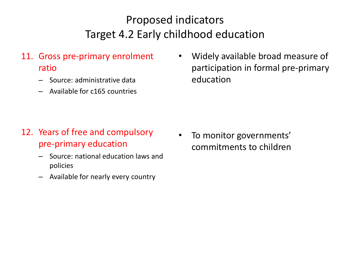### Proposed indicators Target 4.2 Early childhood education

- 11. Gross pre-primary enrolment ratio
	- Source: administrative data
	- Available for c165 countries

• Widely available broad measure of participation in formal pre-primary education

#### 12. Years of free and compulsory pre-primary education

- Source: national education laws and policies
- Available for nearly every country

• To monitor governments' commitments to children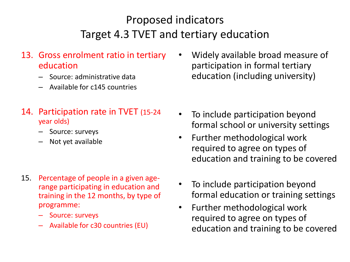### Proposed indicators Target 4.3 TVET and tertiary education

#### 13. Gross enrolment ratio in tertiary education

- Source: administrative data
- Available for c145 countries

#### 14. Participation rate in TVET (15-24 year olds)

- Source: surveys
- Not yet available

- 15. Percentage of people in a given agerange participating in education and training in the 12 months, by type of programme:
	- Source: surveys
	- Available for c30 countries (EU)

• Widely available broad measure of participation in formal tertiary education (including university)

- To include participation beyond formal school or university settings
- Further methodological work required to agree on types of education and training to be covered
- To include participation beyond formal education or training settings
- Further methodological work required to agree on types of education and training to be covered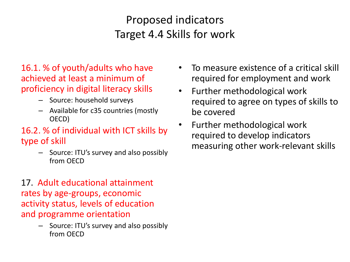### Proposed indicators Target 4.4 Skills for work

#### 16.1. % of youth/adults who have achieved at least a minimum of proficiency in digital literacy skills

- Source: household surveys
- Available for c35 countries (mostly OECD)

#### 16.2. % of individual with ICT skills by type of skill

– Source: ITU's survey and also possibly from OECD

17. Adult educational attainment rates by age-groups, economic activity status, levels of education and programme orientation

> – Source: ITU's survey and also possibly from OECD

- To measure existence of a critical skill required for employment and work
- Further methodological work required to agree on types of skills to be covered
- Further methodological work required to develop indicators measuring other work-relevant skills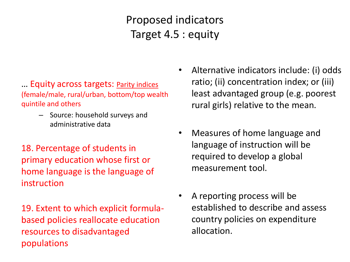Proposed indicators Target 4.5 : equity

#### … Equity across targets: Parity indices (female/male, rural/urban, bottom/top wealth quintile and others

- Source: household surveys and administrative data
- 18. Percentage of students in primary education whose first or home language is the language of instruction

19. Extent to which explicit formulabased policies reallocate education resources to disadvantaged populations

- Alternative indicators include: (i) odds ratio; (ii) concentration index; or (iii) least advantaged group (e.g. poorest rural girls) relative to the mean.
- Measures of home language and language of instruction will be required to develop a global measurement tool.
- A reporting process will be established to describe and assess country policies on expenditure allocation.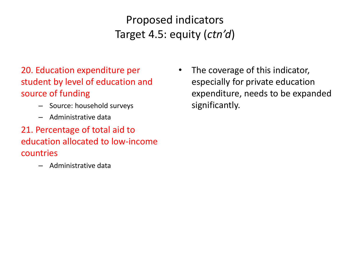Proposed indicators Target 4.5: equity (*ctn'd*)

20. Education expenditure per student by level of education and source of funding

- Source: household surveys
- Administrative data
- 21. Percentage of total aid to education allocated to low-income countries
	- Administrative data

• The coverage of this indicator, especially for private education expenditure, needs to be expanded significantly.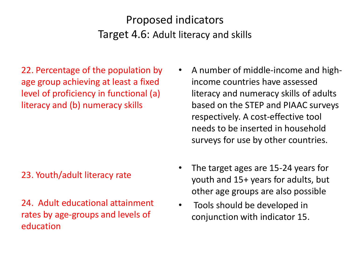### Proposed indicators Target 4.6: Adult literacy and skills

22. Percentage of the population by age group achieving at least a fixed level of proficiency in functional (a) literacy and (b) numeracy skills

#### 23. Youth/adult literacy rate

24. Adult educational attainment rates by age-groups and levels of education

- A number of middle-income and highincome countries have assessed literacy and numeracy skills of adults based on the STEP and PIAAC surveys respectively. A cost-effective tool needs to be inserted in household surveys for use by other countries.
- The target ages are 15-24 years for youth and 15+ years for adults, but other age groups are also possible
- Tools should be developed in conjunction with indicator 15.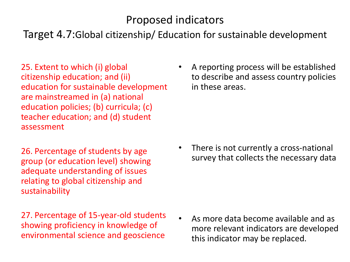### Proposed indicators

Target 4.7:Global citizenship/ Education for sustainable development

25. Extent to which (i) global citizenship education; and (ii) education for sustainable development are mainstreamed in (a) national education policies; (b) curricula; (c) teacher education; and (d) student assessment

26. Percentage of students by age group (or education level) showing adequate understanding of issues relating to global citizenship and sustainability

27. Percentage of 15-year-old students showing proficiency in knowledge of environmental science and geoscience

• A reporting process will be established to describe and assess country policies in these areas.

• There is not currently a cross-national survey that collects the necessary data

• As more data become available and as more relevant indicators are developed this indicator may be replaced.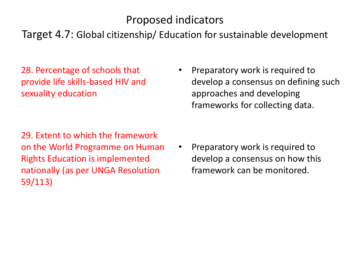### Proposed indicators

#### Target 4.7: Global citizenship/ Education for sustainable development

28. Percentage of schools that provide life skills-based HIV and sexuality education

• Preparatory work is required to develop a consensus on defining such approaches and developing frameworks for collecting data.

29. Extent to which the framework on the World Programme on Human Rights Education is implemented nationally (as per UNGA Resolution 59/113)

• Preparatory work is required to develop a consensus on how this framework can be monitored.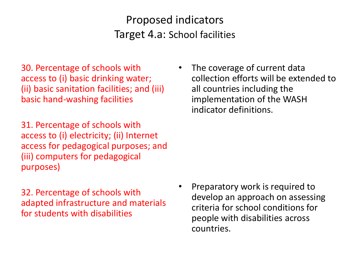### Proposed indicators Target 4.a: School facilities

30. Percentage of schools with access to (i) basic drinking water; (ii) basic sanitation facilities; and (iii) basic hand-washing facilities

31. Percentage of schools with access to (i) electricity; (ii) Internet access for pedagogical purposes; and (iii) computers for pedagogical purposes)

32. Percentage of schools with adapted infrastructure and materials for students with disabilities

The coverage of current data collection efforts will be extended to all countries including the implementation of the WASH indicator definitions.

• Preparatory work is required to develop an approach on assessing criteria for school conditions for people with disabilities across countries.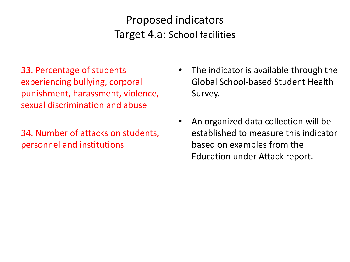Proposed indicators Target 4.a: School facilities

33. Percentage of students experiencing bullying, corporal punishment, harassment, violence, sexual discrimination and abuse

34. Number of attacks on students, personnel and institutions

- The indicator is available through the Global School-based Student Health Survey.
- An organized data collection will be established to measure this indicator based on examples from the Education under Attack report.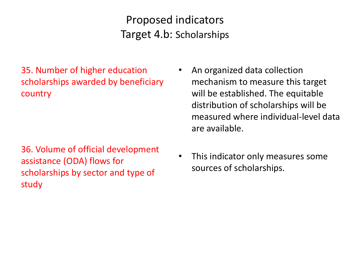Proposed indicators Target 4.b: Scholarships

35. Number of higher education scholarships awarded by beneficiary country

36. Volume of official development assistance (ODA) flows for scholarships by sector and type of study

- An organized data collection mechanism to measure this target will be established. The equitable distribution of scholarships will be measured where individual-level data are available.
- This indicator only measures some sources of scholarships.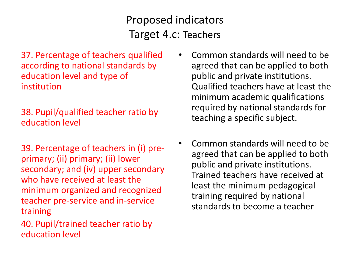### Proposed indicators Target 4.c: Teachers

37. Percentage of teachers qualified according to national standards by education level and type of institution

#### 38. Pupil/qualified teacher ratio by education level

39. Percentage of teachers in (i) preprimary; (ii) primary; (ii) lower secondary; and (iv) upper secondary who have received at least the minimum organized and recognized teacher pre-service and in-service training

40. Pupil/trained teacher ratio by education level

- Common standards will need to be agreed that can be applied to both public and private institutions. Qualified teachers have at least the minimum academic qualifications required by national standards for teaching a specific subject.
- Common standards will need to be agreed that can be applied to both public and private institutions. Trained teachers have received at least the minimum pedagogical training required by national standards to become a teacher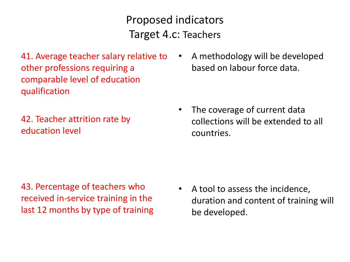Proposed indicators Target 4.c: Teachers

41. Average teacher salary relative to other professions requiring a comparable level of education qualification

42. Teacher attrition rate by education level

• A methodology will be developed based on labour force data.

• The coverage of current data collections will be extended to all countries.

43. Percentage of teachers who received in-service training in the last 12 months by type of training

• A tool to assess the incidence, duration and content of training will be developed.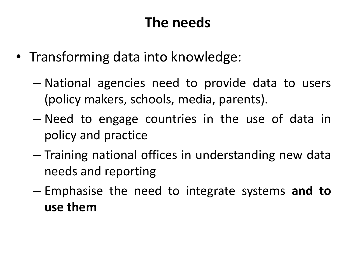## **The needs**

- Transforming data into knowledge:
	- National agencies need to provide data to users (policy makers, schools, media, parents).
	- Need to engage countries in the use of data in policy and practice
	- Training national offices in understanding new data needs and reporting
	- Emphasise the need to integrate systems **and to use them**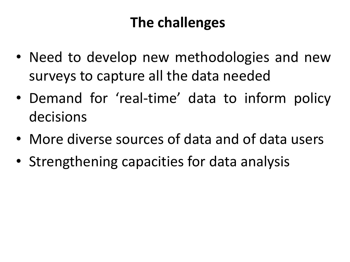## **The challenges**

- Need to develop new methodologies and new surveys to capture all the data needed
- Demand for 'real-time' data to inform policy decisions
- More diverse sources of data and of data users
- Strengthening capacities for data analysis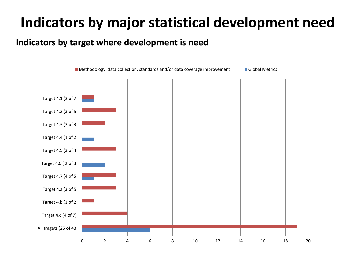## **Indicators by major statistical development need**

#### **Indicators by target where development is need**